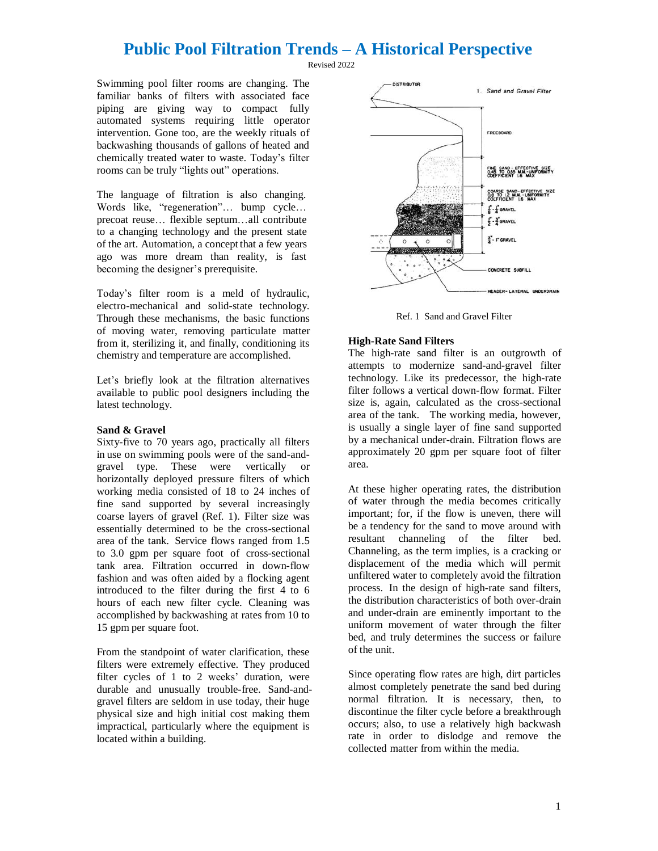Swimming pool filter rooms are changing. The familiar banks of filters with associated face piping are giving way to compact fully automated systems requiring little operator intervention. Gone too, are the weekly rituals of backwashing thousands of gallons of heated and chemically treated water to waste. Today's filter rooms can be truly "lights out" operations.

The language of filtration is also changing. Words like, "regeneration"… bump cycle… precoat reuse… flexible septum…all contribute to a changing technology and the present state of the art. Automation, a concept that a few years ago was more dream than reality, is fast becoming the designer's prerequisite.

Today's filter room is a meld of hydraulic, electro-mechanical and solid-state technology. Through these mechanisms, the basic functions of moving water, removing particulate matter from it, sterilizing it, and finally, conditioning its chemistry and temperature are accomplished.

Let's briefly look at the filtration alternatives available to public pool designers including the latest technology.

#### **Sand & Gravel**

Sixty-five to 70 years ago, practically all filters in use on swimming pools were of the sand-andgravel type. These were vertically or horizontally deployed pressure filters of which working media consisted of 18 to 24 inches of fine sand supported by several increasingly coarse layers of gravel (Ref. 1). Filter size was essentially determined to be the cross-sectional area of the tank. Service flows ranged from 1.5 to 3.0 gpm per square foot of cross-sectional tank area. Filtration occurred in down-flow fashion and was often aided by a flocking agent introduced to the filter during the first 4 to 6 hours of each new filter cycle. Cleaning was accomplished by backwashing at rates from 10 to 15 gpm per square foot.

From the standpoint of water clarification, these filters were extremely effective. They produced filter cycles of 1 to 2 weeks' duration, were durable and unusually trouble-free. Sand-andgravel filters are seldom in use today, their huge physical size and high initial cost making them impractical, particularly where the equipment is located within a building.



Ref. 1 Sand and Gravel Filter

#### **High-Rate Sand Filters**

The high-rate sand filter is an outgrowth of attempts to modernize sand-and-gravel filter technology. Like its predecessor, the high-rate filter follows a vertical down-flow format. Filter size is, again, calculated as the cross-sectional area of the tank. The working media, however, is usually a single layer of fine sand supported by a mechanical under-drain. Filtration flows are approximately 20 gpm per square foot of filter area.

At these higher operating rates, the distribution of water through the media becomes critically important; for, if the flow is uneven, there will be a tendency for the sand to move around with resultant channeling of the filter bed. Channeling, as the term implies, is a cracking or displacement of the media which will permit unfiltered water to completely avoid the filtration process. In the design of high-rate sand filters, the distribution characteristics of both over-drain and under-drain are eminently important to the uniform movement of water through the filter bed, and truly determines the success or failure of the unit.

Since operating flow rates are high, dirt particles almost completely penetrate the sand bed during normal filtration. It is necessary, then, to discontinue the filter cycle before a breakthrough occurs; also, to use a relatively high backwash rate in order to dislodge and remove the collected matter from within the media.

1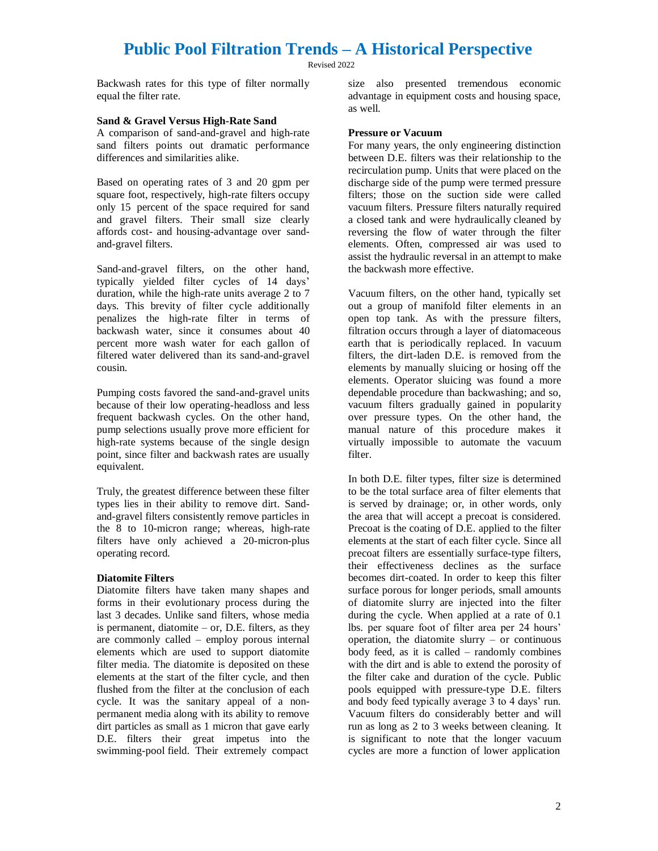Backwash rates for this type of filter normally equal the filter rate.

#### **Sand & Gravel Versus High-Rate Sand**

A comparison of sand-and-gravel and high-rate sand filters points out dramatic performance differences and similarities alike.

Based on operating rates of 3 and 20 gpm per square foot, respectively, high-rate filters occupy only 15 percent of the space required for sand and gravel filters. Their small size clearly affords cost- and housing-advantage over sandand-gravel filters.

Sand-and-gravel filters, on the other hand, typically yielded filter cycles of 14 days' duration, while the high-rate units average 2 to 7 days. This brevity of filter cycle additionally penalizes the high-rate filter in terms of backwash water, since it consumes about 40 percent more wash water for each gallon of filtered water delivered than its sand-and-gravel cousin.

Pumping costs favored the sand-and-gravel units because of their low operating-headloss and less frequent backwash cycles. On the other hand, pump selections usually prove more efficient for high-rate systems because of the single design point, since filter and backwash rates are usually equivalent.

Truly, the greatest difference between these filter types lies in their ability to remove dirt. Sandand-gravel filters consistently remove particles in the 8 to 10-micron range; whereas, high-rate filters have only achieved a 20-micron-plus operating record.

#### **Diatomite Filters**

Diatomite filters have taken many shapes and forms in their evolutionary process during the last 3 decades. Unlike sand filters, whose media is permanent, diatomite  $-$  or, D.E. filters, as they are commonly called – employ porous internal elements which are used to support diatomite filter media. The diatomite is deposited on these elements at the start of the filter cycle, and then flushed from the filter at the conclusion of each cycle. It was the sanitary appeal of a nonpermanent media along with its ability to remove dirt particles as small as 1 micron that gave early D.E. filters their great impetus into the swimming-pool field. Their extremely compact

size also presented tremendous economic advantage in equipment costs and housing space, as well.

#### **Pressure or Vacuum**

For many years, the only engineering distinction between D.E. filters was their relationship to the recirculation pump. Units that were placed on the discharge side of the pump were termed pressure filters; those on the suction side were called vacuum filters. Pressure filters naturally required a closed tank and were hydraulically cleaned by reversing the flow of water through the filter elements. Often, compressed air was used to assist the hydraulic reversal in an attempt to make the backwash more effective.

Vacuum filters, on the other hand, typically set out a group of manifold filter elements in an open top tank. As with the pressure filters, filtration occurs through a layer of diatomaceous earth that is periodically replaced. In vacuum filters, the dirt-laden D.E. is removed from the elements by manually sluicing or hosing off the elements. Operator sluicing was found a more dependable procedure than backwashing; and so, vacuum filters gradually gained in popularity over pressure types. On the other hand, the manual nature of this procedure makes it virtually impossible to automate the vacuum filter.

In both D.E. filter types, filter size is determined to be the total surface area of filter elements that is served by drainage; or, in other words, only the area that will accept a precoat is considered. Precoat is the coating of D.E. applied to the filter elements at the start of each filter cycle. Since all precoat filters are essentially surface-type filters, their effectiveness declines as the surface becomes dirt-coated. In order to keep this filter surface porous for longer periods, small amounts of diatomite slurry are injected into the filter during the cycle. When applied at a rate of 0.1 lbs. per square foot of filter area per 24 hours' operation, the diatomite slurry – or continuous body feed, as it is called – randomly combines with the dirt and is able to extend the porosity of the filter cake and duration of the cycle. Public pools equipped with pressure-type D.E. filters and body feed typically average 3 to 4 days' run. Vacuum filters do considerably better and will run as long as 2 to 3 weeks between cleaning. It is significant to note that the longer vacuum cycles are more a function of lower application

Revised 2022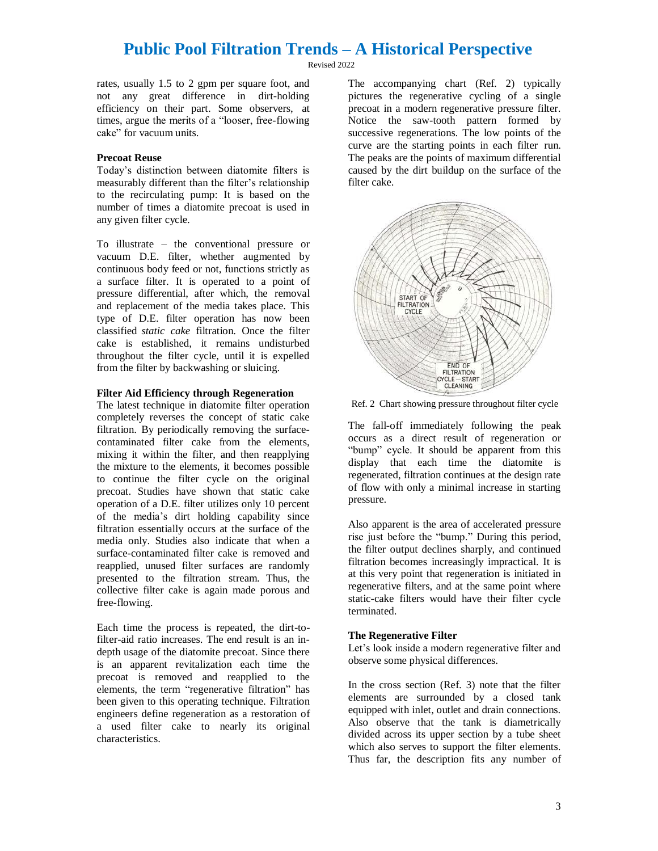Revised 2022

rates, usually 1.5 to 2 gpm per square foot, and not any great difference in dirt-holding efficiency on their part. Some observers, at times, argue the merits of a "looser, free-flowing cake" for vacuum units.

#### **Precoat Reuse**

Today's distinction between diatomite filters is measurably different than the filter's relationship to the recirculating pump: It is based on the number of times a diatomite precoat is used in any given filter cycle.

To illustrate – the conventional pressure or vacuum D.E. filter, whether augmented by continuous body feed or not, functions strictly as a surface filter. It is operated to a point of pressure differential, after which, the removal and replacement of the media takes place. This type of D.E. filter operation has now been classified *static cake* filtration. Once the filter cake is established, it remains undisturbed throughout the filter cycle, until it is expelled from the filter by backwashing or sluicing.

#### **Filter Aid Efficiency through Regeneration**

The latest technique in diatomite filter operation completely reverses the concept of static cake filtration. By periodically removing the surfacecontaminated filter cake from the elements, mixing it within the filter, and then reapplying the mixture to the elements, it becomes possible to continue the filter cycle on the original precoat. Studies have shown that static cake operation of a D.E. filter utilizes only 10 percent of the media's dirt holding capability since filtration essentially occurs at the surface of the media only. Studies also indicate that when a surface-contaminated filter cake is removed and reapplied, unused filter surfaces are randomly presented to the filtration stream. Thus, the collective filter cake is again made porous and free-flowing.

Each time the process is repeated, the dirt-tofilter-aid ratio increases. The end result is an indepth usage of the diatomite precoat. Since there is an apparent revitalization each time the precoat is removed and reapplied to the elements, the term "regenerative filtration" has been given to this operating technique. Filtration engineers define regeneration as a restoration of a used filter cake to nearly its original characteristics.

The accompanying chart (Ref. 2) typically pictures the regenerative cycling of a single precoat in a modern regenerative pressure filter. Notice the saw-tooth pattern formed by successive regenerations. The low points of the curve are the starting points in each filter run. The peaks are the points of maximum differential caused by the dirt buildup on the surface of the filter cake.



Ref. 2 Chart showing pressure throughout filter cycle

The fall-off immediately following the peak occurs as a direct result of regeneration or "bump" cycle. It should be apparent from this display that each time the diatomite is regenerated, filtration continues at the design rate of flow with only a minimal increase in starting pressure.

Also apparent is the area of accelerated pressure rise just before the "bump." During this period, the filter output declines sharply, and continued filtration becomes increasingly impractical. It is at this very point that regeneration is initiated in regenerative filters, and at the same point where static-cake filters would have their filter cycle terminated.

### **The Regenerative Filter**

Let's look inside a modern regenerative filter and observe some physical differences.

In the cross section (Ref. 3) note that the filter elements are surrounded by a closed tank equipped with inlet, outlet and drain connections. Also observe that the tank is diametrically divided across its upper section by a tube sheet which also serves to support the filter elements. Thus far, the description fits any number of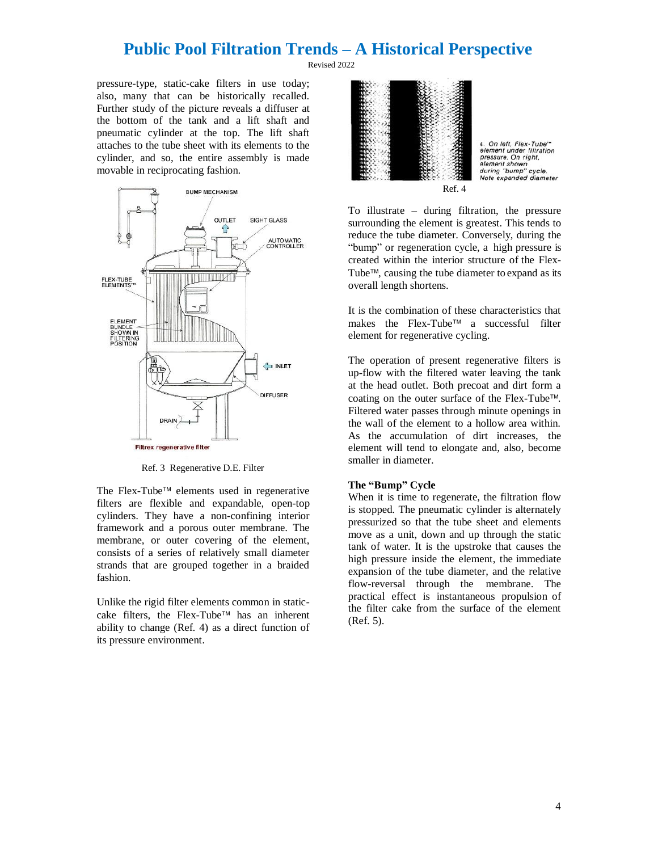Revised 2022

pressure-type, static-cake filters in use today; also, many that can be historically recalled. Further study of the picture reveals a diffuser at the bottom of the tank and a lift shaft and pneumatic cylinder at the top. The lift shaft attaches to the tube sheet with its elements to the cylinder, and so, the entire assembly is made movable in reciprocating fashion.



Ref. 3 Regenerative D.E. Filter

The Flex-Tube<sup> $\mathsf{TM}$ </sup> elements used in regenerative filters are flexible and expandable, open-top cylinders. They have a non-confining interior framework and a porous outer membrane. The membrane, or outer covering of the element, consists of a series of relatively small diameter strands that are grouped together in a braided fashion.

Unlike the rigid filter elements common in staticcake filters, the Flex-Tube<sup> $TM$ </sup> has an inherent ability to change (Ref. 4) as a direct function of its pressure environment.



4. On left, Flex-Tube<sup>ra</sup> element under filtration<br>pressure. On right, element shown<br>during "bump" cycle.<br>Note expanded diameter

To illustrate – during filtration, the pressure surrounding the element is greatest. This tends to reduce the tube diameter. Conversely, during the "bump" or regeneration cycle, a high pressure is created within the interior structure of the Flex-Tube<sup> $TM$ </sup>, causing the tube diameter to expand as its overall length shortens.

It is the combination of these characteristics that makes the Flex-Tube<sup> $\text{m}$ </sup> a successful filter element for regenerative cycling.

The operation of present regenerative filters is up-flow with the filtered water leaving the tank at the head outlet. Both precoat and dirt form a coating on the outer surface of the Flex-Tube<sup>™</sup>. Filtered water passes through minute openings in the wall of the element to a hollow area within. As the accumulation of dirt increases, the element will tend to elongate and, also, become smaller in diameter.

### **The "Bump" Cycle**

When it is time to regenerate, the filtration flow is stopped. The pneumatic cylinder is alternately pressurized so that the tube sheet and elements move as a unit, down and up through the static tank of water. It is the upstroke that causes the high pressure inside the element, the immediate expansion of the tube diameter, and the relative flow-reversal through the membrane. The practical effect is instantaneous propulsion of the filter cake from the surface of the element (Ref. 5).